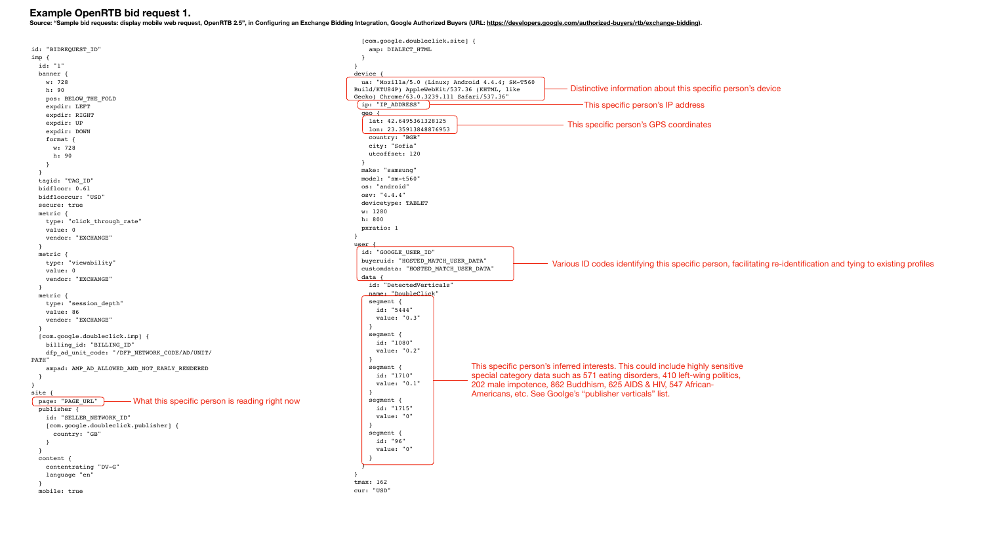|                                                                      | [com.google.doubleclick.site] {                 |                     |
|----------------------------------------------------------------------|-------------------------------------------------|---------------------|
| id: "BIDREQUEST ID"                                                  | amp: DIALECT HTML                               |                     |
| imp {                                                                |                                                 |                     |
| id: "1"                                                              |                                                 |                     |
| banner {                                                             | device                                          |                     |
| w: 728                                                               | ua: "Mozilla/5.0 (Linux; Android 4.4.4; SM-T560 |                     |
| h: 90                                                                | Build/KTU84P) AppleWebKit/537.36 (KHTML, like   |                     |
| pos: BELOW_THE_FOLD                                                  | Gecko) Chrome/63.0.3239.111 Safari/537.36"      |                     |
| expdir: LEFT                                                         | ip: "IP_ADDRESS"                                |                     |
| expdir: RIGHT                                                        | geo                                             |                     |
| expdir: UP                                                           | lat: 42.6495361328125                           |                     |
| expdir: DOWN                                                         | lon: 23.35913848876953                          |                     |
| format $\{$                                                          | country: "BGR"                                  |                     |
| w: 728                                                               | city: "Sofia"                                   |                     |
| h: 90                                                                | utcoffset: 120                                  |                     |
|                                                                      |                                                 |                     |
|                                                                      | make: "samsung"                                 |                     |
| tagid: "TAG_ID"                                                      | $model: "sm-t560"$                              |                     |
| bidfloor: 0.61                                                       | os: "android"                                   |                     |
| bidfloorcur: "USD"                                                   | osv: "4.4.4"                                    |                     |
| secure: true                                                         | devicetype: TABLET                              |                     |
| metric $\{$                                                          | w: 1280                                         |                     |
| type: "click_through_rate"                                           | h: 800                                          |                     |
| value: 0                                                             | pxratio: 1                                      |                     |
| vendor: "EXCHANGE"                                                   |                                                 |                     |
|                                                                      | user                                            |                     |
|                                                                      | id: "GOOGLE_USER_ID"                            |                     |
| metric {                                                             | buyeruid: "HOSTED MATCH USER DATA"              |                     |
| type: "viewability"                                                  | customdata: "HOSTED MATCH USER DATA"            |                     |
| value: 0                                                             | data                                            |                     |
| vendor: "EXCHANGE"                                                   | id: "DetectedVerticals"                         |                     |
|                                                                      | name: "DoubleClick"                             |                     |
| metric {                                                             | segment {                                       |                     |
| type: "session_depth"                                                | id: "5444"                                      |                     |
| value: 86                                                            | value: "0.3"                                    |                     |
| vendor: "EXCHANGE"                                                   |                                                 |                     |
|                                                                      | segment {                                       |                     |
| [com.google.doubleclick.imp] {                                       | id: "1080"                                      |                     |
| billing_id: "BILLING_ID"                                             | value: "0.2"                                    |                     |
| dfp_ad_unit_code: "/DFP_NETWORK_CODE/AD/UNIT/                        |                                                 |                     |
| PATH"                                                                |                                                 | This specific perso |
| ampad: AMP_AD_ALLOWED_AND_NOT_EARLY_RENDERED                         | segment {<br>id: "1710"                         |                     |
|                                                                      | value: "0.1"                                    | special category d  |
| $\}$                                                                 |                                                 | 202 male impoten    |
| site .                                                               |                                                 | Americans, etc. Se  |
| - What this specific person is reading right now<br>page: "PAGE_URL" | segment {                                       |                     |
| publisher {                                                          | id: "1715"                                      |                     |
| id: "SELLER_NETWORK_ID"                                              | value: "0"                                      |                     |
| [com.google.doubleclick.publisher] {                                 |                                                 |                     |
| country: "GB"                                                        | segment {                                       |                     |
|                                                                      | id: "96"                                        |                     |
|                                                                      | value: "0"                                      |                     |
| content {                                                            |                                                 |                     |
| contentrating "DV-G"                                                 |                                                 |                     |
| language "en"                                                        |                                                 |                     |
|                                                                      | tmax: $162$                                     |                     |
| mobile: true                                                         | cur: "USD"                                      |                     |
|                                                                      |                                                 |                     |

# **Example OpenRTB bid request 1.**

Source: "Sample bid requests: display mobile web request, OpenRTB 2.5", in Configuring an Exchange Bidding Integration, Google Authorized Buyers (URL:<https://developers.google.com/authorized-buyers/rtb/exchange-bidding>).

| droid 4.4.4; SM-T560<br>.36 (KHTML, like<br>afari/537.36" | Distinctive information about this specific person's device<br>- This specific person's IP address |
|-----------------------------------------------------------|----------------------------------------------------------------------------------------------------|
|                                                           | This specific person's GPS coordinates                                                             |
|                                                           |                                                                                                    |
|                                                           |                                                                                                    |
|                                                           |                                                                                                    |
|                                                           |                                                                                                    |
|                                                           |                                                                                                    |

Various ID codes identifying this specific person, facilitating re-identification and tying to existing profiles

This specific person's inferred interests. This could include highly sensitive special category data such as 571 eating disorders, 410 left-wing politics, 202 male impotence, 862 Buddhism, 625 AIDS & HIV, 547 African-Americans, etc. See Goolge's "publisher verticals" list.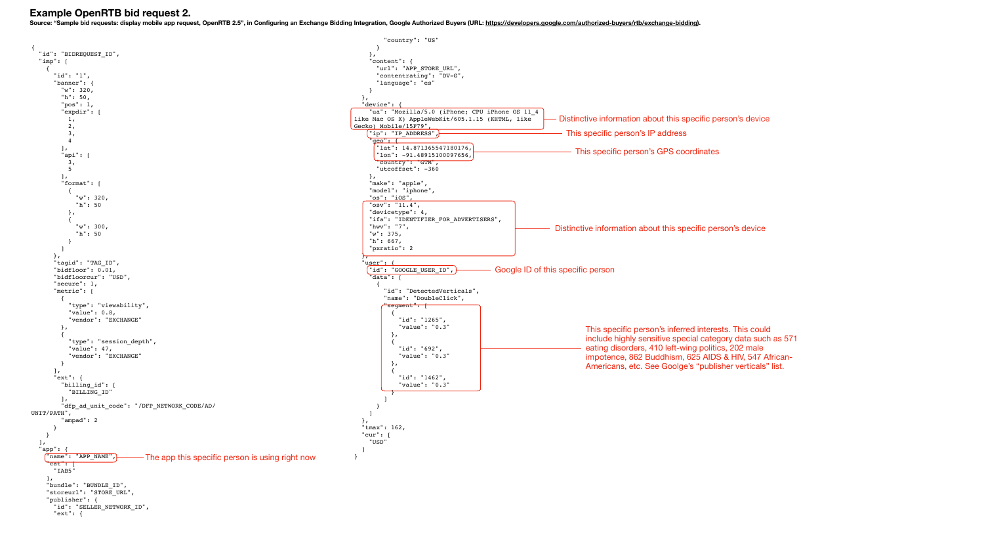**Example OpenRTB bid request 2.** 

Source: "Sample bid requests: display mobile app request, OpenRTB 2.5", in Configuring an Exchange Bidding Integration, Google Authorized Buyers (URL:<https://developers.google.com/authorized-buyers/rtb/exchange-bidding>).

```
{
    "id": "BIDREQUEST_ID",
   "imp": [
     {
        "id": "1",
        "banner": {
          "w": 320,
          "h": 50,
          "pos": 1,
          "expdir": [
          1,
            2,
            3,
            4
          ],
          "api": [
           3,
           5
          ],
          "format": [
           {
              "w": 320,
              "h": 50
            },
           {
               "w": 300,
              "h": 50
           }
         ]
        },
        "tagid": "TAG_ID",
        "bidfloor": 0.01,
        "bidfloorcur": "USD",
        "secure": 1,
        "metric": [
         {
            "type": "viewability",
            "value": 0.8,
            "vendor": "EXCHANGE"
         },
         {
             "type": "session_depth",
            "value": 47,
             "vendor": "EXCHANGE"
         }
       \vert,
        "ext": {
          "billing_id": [
            "BILLING_ID"
          ],
          "dfp_ad_unit_code": "/DFP_NETWORK_CODE/AD/
UNIT/PATH",
           "ampad": 2
       }
     }
   \mathbf{1},
   "app":
      "name": "APP_NAME",
     "cat": " "IAB5"
     ],
      "bundle": "BUNDLE_ID",
     "storeurl": "STORE URL",
      "publisher": {
        "id": "SELLER_NETWORK_ID",
        "ext": {
                                                                                                            "country": "US"
                                                                                                         }
                                                                                                        },
                                                                                                        "content": {
                                                                                                         "url": "APP_STORE_URL",
                                                                                                          "contentrating": "DV-G",
                                                                                                          "language": "es"
                                                                                                       }
                                                                                                     },
                                                                                                     "device": {
                                                                                                       "ua": "Mozilla/5.0 (iPhone; CPU iPhone OS 11_4 
                                                                                                  like Mac OS X) AppleWebKit/605.1.15 (KHTML, like 
                                                                                                  Gecko) Mobile/15F79",
                                                                                                       "ip": "IP_ADDRESS",
                                                                                                        'geo": {
                                                                                                          "lat": 14.871365547180176,
                                                                                                          "lon": -91.48915100097656,
                                                                                                          "country": "GTM",
                                                                                                          "utcoffset": -360
                                                                                                       },
                                                                                                        "make": "apple",
                                                                                                       "model": "iphone",
                                                                                                        "os": "iOS",
                                                                                                        "osv": "11.4",
                                                                                                        "devicetype": 4,
                                                                                                       "ifa": "IDENTIFIER_FOR_ADVERTISERS",
                                                                                                        "hwv": "7",
                                                                                                        "w": 375,
                                                                                                       "h": 667,
                                                                                                        "pxratio": 2
                                                                                                     },
                                                                                                      "user": {
                                                                                                       "id": "GOOGLE_USER_ID",
                                                                                                        "data": [
                                                                                                         {
                                                                                                            "id": "DetectedVerticals",
                                                                                                            "name": "DoubleClick",
                                                                                                           "segment": f
                                                                                                             {
                                                                                                                "id": "1265",
                                                                                                                "value": "0.3"
                                                                                                              },
                                                                                                             {
                                                                                                                "id": "692",
                                                                                                                "value": "0.3"
                                                                                                              },
                                                                                                             {
                                                                                                                "id": "1462",
                                                                                                                "value": "0.3"
                                                                                                             }
                                                                                                           ]
                                                                                                         }
                                                                                                       ]
                                                                                                     },
                                                                                                     "tmax": 162,
                                                                                                    "cur":
                                                                                                       "USD"
                                                                                                     ]
                                                                                                  }
                             The app this specific person is using right now
```
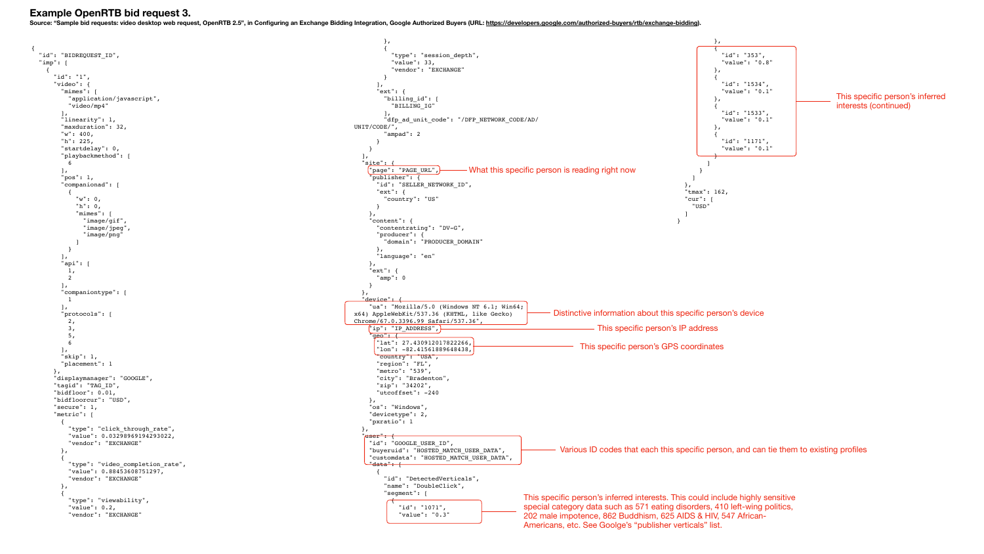```
{
  "id": "BIDREQUEST ID",
  "imp": | {
       "id": "1",
       "video": {
         "mimes": [
            "application/javascript",
            "video/mp4"
        \vert,
         "linearity": 1,
         "maxduration": 32,
         "w": 400,
         "h": 225,
         "startdelay": 0,
         "playbackmethod": [
            6
        \mathbf{I},
         "pos": 1,
          "companionad": [
           {
             "w": 0,
              "h": 0,
              "mimes": [
                "image/gif",
                "image/jpeg",
                 "image/png"
             ]
           }
         ],
          "api": [
          1,
           2
        \frac{1}{2}"companiontype": [
           1
         ],
          "protocols": [
          2, 3,
           5,
            6
        \vert,
          "skip": 1,
         "placement": 1
       },
       "displaymanager": "GOOGLE",
       "tagid": "TAG_ID",
       "bidfloor": 0.01,
       "bidfloorcur": "USD",
       "secure": 1,
       "metric": [
         {
            "type": "click_through_rate",
            "value": 0.03298969194293022,
            "vendor": "EXCHANGE"
         },
         {
           "type": "video completion rate",
            "value": 0.88453608751297,
            "vendor": "EXCHANGE"
         },
         {
            "type": "viewability",
            "value": 0.2,
            "vendor": "EXCHANGE"
                                                                                                                },
                                                                                                               {
                                                                                                                   "type": "session_depth",
                                                                                                                  "value": 33,
                                                                                                                   "vendor": "EXCHANGE"
                                                                                                               }
                                                                                                             \vert,
                                                                                                              "ext": {
                                                                                                                "billing_id": [
                                                                                                                  "BILLING_IG"
                                                                                                               \mathbf{I},
                                                                                                               "dfp_ad_unit_code": "/DFP_NETWORK_CODE/AD/
                                                                                                      UNIT/CODE/",
                                                                                                                "ampad": 2
                                                                                                             }
                                                                                                           }
                                                                                                        \mathbf{I},
                                                                                                         "s<u>ite": {</u>
                                                                                                           "page": "PAGE URL",
                                                                                                            "publisher": {
                                                                                                              "id": "SELLER_NETWORK_ID",
                                                                                                              "ext": {
                                                                                                                "country": "US"
                                                                                                             }
                                                                                                           },
                                                                                                            "content": {
                                                                                                              "contentrating": "DV-G",
                                                                                                              "producer": {
                                                                                                                "domain": "PRODUCER_DOMAIN"
                                                                                                             },
                                                                                                              "language": "en"
                                                                                                           },
                                                                                                            "ext": {
                                                                                                             "amp": 0
                                                                                                           }
                                                                                                         },
                                                                                                         <u>"device":</u>
                                                                                                           "ua": "Mozilla/5.0 (Windows NT 6.1; Win64; 
                                                                                                      x64) AppleWebKit/537.36 (KHTML, like Gecko) 
                                                                                                      Chrome/67.0.3396.99 Safari/537.36",
                                                                                                           "ip": "IP_ADDRESS",\} "geo": {
                                                                                                              "lat": 27.430912017822266,
                                                                                                              "lon": -82.41561889648438,
                                                                                                              "country": "USA",
                                                                                                              "region": "FL",
                                                                                                              "metro": "539",
                                                                                                              "city": "Bradenton",
                                                                                                              "zip": "34202",
                                                                                                              "utcoffset": -240
                                                                                                           },
                                                                                                            "os": "Windows",
                                                                                                           "devicetype": 2,
                                                                                                           "pxratio": 1
                                                                                                        },
                                                                                                         "<del>user": {</del>
                                                                                                          "id": "GOOGLE USER ID",
                                                                                                           "buyeruid": "HOSTED MATCH USER DATA",
                                                                                                           "customdata": "HOSTED_MATCH_USER_DATA",
                                                                                                         \overline{\text{u}^{\text{data}}: [
                                                                                                             {
                                                                                                                "id": "DetectedVerticals",
                                                                                                                "name": "DoubleClick",
                                                                                                                "segment": [
                                                                                                                 \overline{\phantom{a}} "id": "1071",
                                                                                                                     "value": "0.3"
```
## **Example OpenRTB bid request 3.**

Source: "Sample bid requests: video desktop web request, OpenRTB 2.5", in Configuring an Exchange Bidding Integration, Google Authorized Buyers (URL:<https://developers.google.com/authorized-buyers/rtb/exchange-bidding>).







Various ID codes that each this specific person, and can tie them to existing profiles



This specific person's inferred interests. This could include highly sensitive special category data such as 571 eating disorders, 410 left-wing politics, 202 male impotence, 862 Buddhism, 625 AIDS & HIV, 547 African-Americans, etc. See Goolge's "publisher verticals" list.

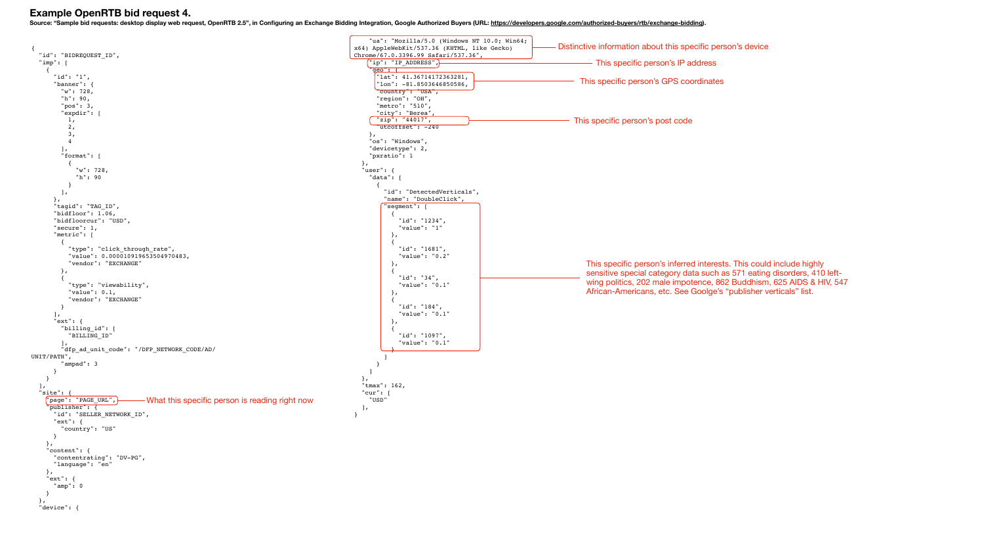

### **Example OpenRTB bid request 4.**

Source: "Sample bid requests: desktop display web request, OpenRTB 2.5", in Configuring an Exchange Bidding Integration, Google Authorized Buyers (URL: <https://developers.google.com/authorized-buyers/rtb/exchange-bidding>).

| ws NT 10.0; Win64;<br>L, like Gecko) | Distinctive information about this specific person's device |
|--------------------------------------|-------------------------------------------------------------|
| $7.36"$ ,                            | This specific person's IP address                           |
| 1 <sub>r</sub><br>6,                 | This specific person's GPS coordinates                      |
|                                      |                                                             |

This specific person's post code

| This specific person's inferred interests. This could include highly<br>sensitive special category data such as 571 eating disorders, 410 left-<br>wing politics, 202 male impotence, 862 Buddhism, 625 AIDS & HIV, 547<br>African-Americans, etc. See Goolge's "publisher verticals" list. |
|---------------------------------------------------------------------------------------------------------------------------------------------------------------------------------------------------------------------------------------------------------------------------------------------|
|                                                                                                                                                                                                                                                                                             |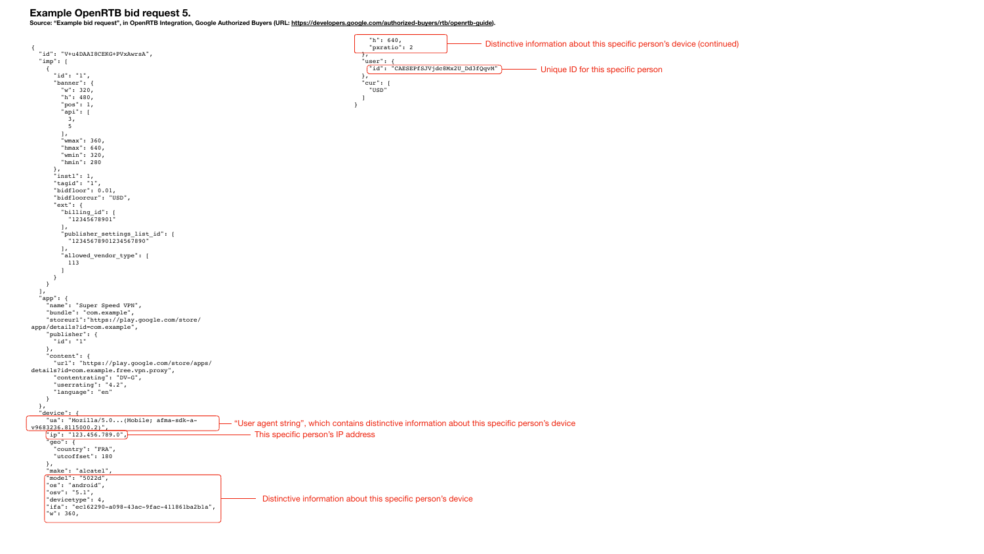```
{
   "id": "V+u4DAAI8CEKG+PVxAwrsA",
   "imp": [
    \left\{ \right. "id": "1",
       "banner": {
         "w": 320,
         "h": 480,
          "pos": 1,
          "api": [
           3,
           5
          ],
          "wmax": 360,
          "hmax": 640,
          "wmin": 320,
          "hmin": 280
       },
       "instl": 1,
       "tagid": "1",
       "bidfloor": 0.01,
       "bidfloorcur": "USD",
       "ext": {
         "billing_id": [
           "12345678901"
          ],
          "publisher_settings_list_id": [
            "12345678901234567890"
         \vert,
          "allowed_vendor_type": [
           113
         ]
       }
     }
  \mathbf{I},
   "app": {
     "name": "Super Speed VPN",
     "bundle": "com.example",
     "storeurl":"https://play.google.com/store/
apps/details?id=com.example",
     "publisher": {
       "id": "1"
     },
     "content": {
       "url": "https://play.google.com/store/apps/
details?id=com.example.free.vpn.proxy",
       "contentrating": "DV-G",
       "userrating": "4.2",
       "language": "en"
     }
   },
  "device": {
     "ua": "Mozilla/5.0...(Mobile; afma-sdk-a-
v9683236.8115000.2)",
     "ip": "123.456.789.0",
      "geo": {
       "country": "FRA",
       "utcoffset": 180
     },
     "make": "alcatel",
      "model": "5022d",
     "os": "android",
     "osv": "5.1",
      "devicetype": 4,
      "ifa": "ec162290-a098-43ac-9fac-411861ba2b1a",
     "w": 360,
                                                                                                     "h": 640,
                                                                                                     "pxratio": 2
                                                                                                  },
                                                                                                    "user": {
                                                                                                     "id": "CAESEPfSJVjdc8Mx2U_Dd3fQqvM"
                                                                                                   },
                                                                                                   "cur": [
                                                                                                     "USD"
                                                                                                   ]
                                                                                                }
                                                            "User agent string", which contains distinctive information about this specific person's device
                                                                 - This specific person's IP address
                                                                    Distinctive information about this specific person's device
```
### **Example OpenRTB bid request 5.**

**Source: "Example bid request", in OpenRTB Integration, Google Authorized Buyers (URL:<https://developers.google.com/authorized-buyers/rtb/openrtb-guide>).**

Unique ID for this specific person

Distinctive information about this specific person's device (continued)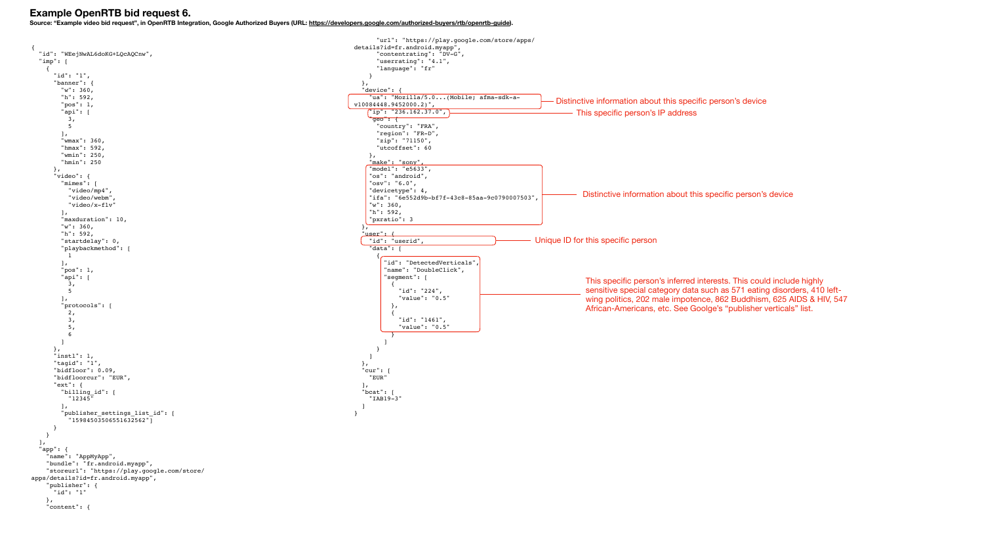{

```
 "id": "WEejNwAL6doKG+LQcAQCnw",
   "imp": [
     {
       "id": "1",
        "banner": {
         "w": 360,
          "h": 592,
          "pos": 1,
          "api": [
           3,
            5
          ],
          "wmax": 360,
          "hmax": 592,
          "wmin": 250,
          "hmin": 250
       },
        "video": {
          "mimes": [
            "video/mp4",
            "video/webm",
            "video/x-flv"
          ],
          "maxduration": 10,
          "w": 360,
          "h": 592,
          "startdelay": 0,
          "playbackmethod": [
           1
          ],
          "pos": 1,
          "api": [
           3,
           5
         \frac{1}{2} "protocols": [
            2,
           3,
            5,
            6
         ]
       },
        "instl": 1,
       "tagid": "1",
       "bidfloor": 0.09,
       "bidfloorcur": "EUR",
        "ext": {
          "billing_id": [
            "12345"
         \vert,
          "publisher_settings_list_id": [
            "15984503506551632562"]
       }
     }
  \vert,
   "app": {
     "name": "AppMyApp",
     "bundle": "fr.android.myapp",
     "storeurl": "https://play.google.com/store/
apps/details?id=fr.android.myapp",
     "publisher": {
       "id": "1"
     },
     "content": {
                                                                                                          "url": "https://play.google.com/store/apps/
                                                                                                  details?id=fr.android.myapp",
                                                                                                          "contentrating": "DV-G",
                                                                                                          "userrating": "4.1",
                                                                                                          "language": "fr"
                                                                                                       }
                                                                                                     },
                                                                                                      "device": {
                                                                                                       "ua": "Mozilla/5.0...(Mobile; afma-sdk-a-
                                                                                                  v10084448.9452000.2)",
                                                                                                        "ip": "236.162.37.0",
                                                                                                        "geo": {
                                                                                                          "country": "FRA",
                                                                                                          "region": "FR-D",
                                                                                                          "zip": "71150",
                                                                                                          "utcoffset": 60
                                                                                                       },
                                                                                                        "make": "sony",
                                                                                                        "model": "e5633",
                                                                                                        "os": "android",
                                                                                                        "osv": "6.0",
                                                                                                       "devicetype": 4,
                                                                                                        "ifa": "6e552d9b-bf7f-43c8-85aa-9c0790007503",
                                                                                                        "w": 360,
                                                                                                        "h": 592,
                                                                                                        "pxratio": 3
                                                                                                     },
                                                                                                     'user": {
                                                                                                       "id": "userid",
                                                                                                        "data": [
                                                                                                         {
                                                                                                             "id": "DetectedVerticals",
                                                                                                            "name": "DoubleClick",
                                                                                                            "segment": [
                                                                                                              {
                                                                                                                "id": "224",
                                                                                                                "value": "0.5"
                                                                                                              },
                                                                                                              {
                                                                                                                "id": "1461",
                                                                                                                 "value": "0.5"
                                                                                                              }
                                                                                                           ]
                                                                                                         }
                                                                                                       ]
                                                                                                     },
                                                                                                      "cur": [
                                                                                                       "EUR"
                                                                                                     ],
                                                                                                      "bcat": [
                                                                                                       "IAB19-3"
                                                                                                     ]
                                                                                                  }
```
## **Example OpenRTB bid request 6.**

**Source: "Example video bid request", in OpenRTB Integration, Google Authorized Buyers (URL:<https://developers.google.com/authorized-buyers/rtb/openrtb-guide>).**

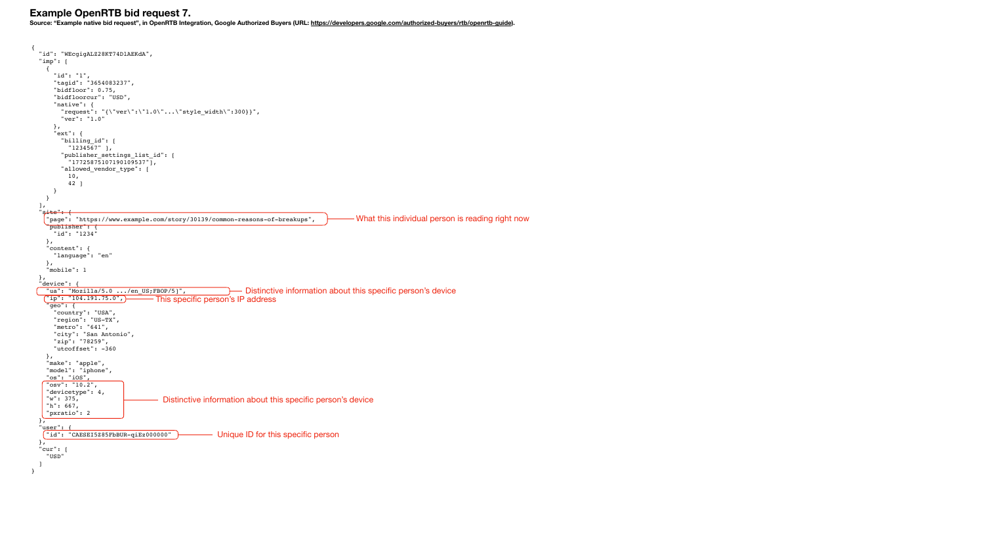```
{
  "id": "WEcgigALZ28KT74DlAEKdA",
  "imp": [
   \left\{ \right. "id": "1",
      "tagid": "3654083237",
      "bidfloor": 0.75,
      "bidfloorcur": "USD",
      "native": {
        "request": "{\"ver\":\"1.0\"...\"style_width\":300}}",
        "ver": "1.0"
      },
       "ext": {
        "billing_id": [
         "1234567" ],
        "publisher_settings_list_id": [
          "17725875107190109537"],
        "allowed_vendor_type": [
          10,
          42 ]
      }
    }
  \frac{1}{\sqrt{2}}"site": {
    "page": "https://www.example.com/story/30139/common-reasons-of-breakups",
     "publisher": {
      "id": "1234"
    },
    "content": {
      "language": "en"
    },
    "mobile": 1
  },
   "device": {
    "ua": "Mozilla/5.0 .../en_US;FBOP/5]",
    "ip": "104.191.75.0",
    "geo": {
      "country": "USA",
      "region": "US-TX",
      "metro": "641",
      "city": "San Antonio",
      "zip": "78259",
      "utcoffset": -360
    },
    "make": "apple",
    "model": "iphone",
    "os": "iOS",
    "osv": "10.2",
     "devicetype": 4,
     "w": 375,
     "h": 667,
     "pxratio": 2
   },
   "user": {
     "id": "CAESEI5Z85FbBUR-qiEz000000"
  },
 "cur": [
    "USD"
  ]
}
                                                               Distinctive information about this specific person's device
                                    This specific person's IP address 
                                                   - Unique ID for this specific person
                                                                                              What this individual person is reading right now 
                                     Distinctive information about this specific person's device
```
# **Example OpenRTB bid request 7.**

**Source: "Example native bid request", in OpenRTB Integration, Google Authorized Buyers (URL: [https://developers.google.com/authorized-buyers/rtb/openrtb-guide\)](https://developers.google.com/authorized-buyers/rtb/openrtb-guide).**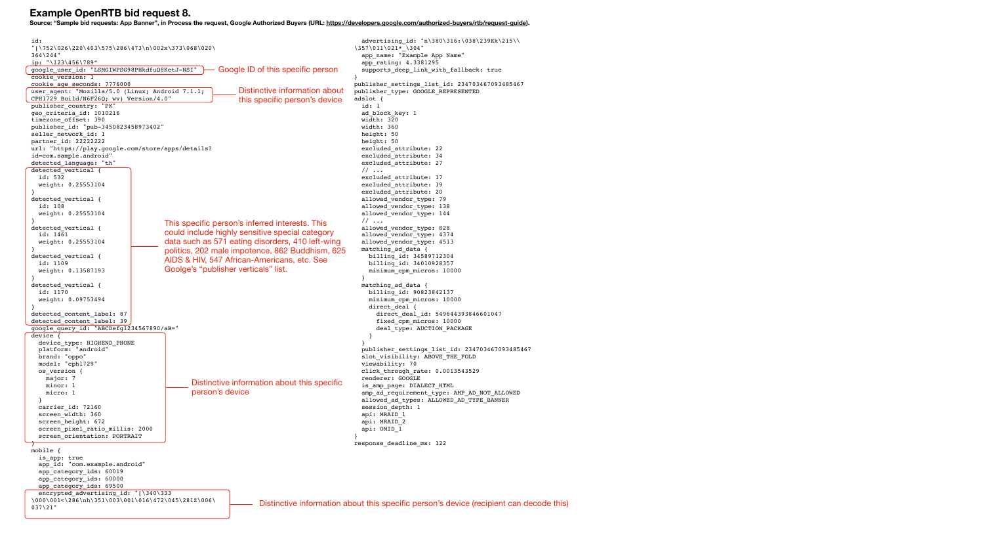```
id: 
"[\752\026\220\403\575\286\473\n\002x\373\068\020\
364\244"
ip: "\123\456\789"
google_user_id: "LSMGIWPSG98PHkdfuQ8KetJ-NSI"
cookie version: 1
cookie_age_seconds: 7776000
user_agent: "Mozilla/5.0 (Linux; Android 7.1.1; 
CPH1729 Build/N6F26Q; wv) Version/4.0"
publisher_country: "PK"
geo_criteria_id: 1010216
timezone_offset: 390
publisher_id: "pub-3450823458973402"
seller network id: 1
partner_id: 22222222
url: "https://play.google.com/store/apps/details?
id=com.sample.android"
detected_language: "th"
detected vertical {
  id: 532
  weight: 0.25553104
}
detected_vertical {
  id: 108
  weight: 0.25553104
}
detected vertical {
  id: 1461
  weight: 0.25553104
}
detected vertical {
  id: 1109
  weight: 0.13587193
}
detected_vertical {
  id: 1170
  weight: 0.09753494
}
detected content label: 87
detected content label: 39
google_query_id: "ABCDefg1234567890/aB="
device {
   device_type: HIGHEND_PHONE
   platform: "android"
   brand: "oppo"
   model: "cph1729"
   os_version {
     major: 7
     minor: 1
     micro: 1
 }
   carrier_id: 72160
  screen width: 360
  screen height: 672
   screen_pixel_ratio_millis: 2000
   screen_orientation: PORTRAIT
}
mobile {
   is_app: true
   app_id: "com.example.android"
   app_category_ids: 60019
  app category ids: 60000
  app_category_ids: 69500
  encrypted advertising id: "[\340\333
\000\001<\286\nh\351\003\001\016\472\045\281Z\006\
037\21"
                                                                                            advertising id: "n\380\316:\038\239Kk\215\\
                                                                                          \357\011\021* \304"
                                                                                            app name: "Example App Name"
                                                                                             app_rating: 4.3381295
                                                                                            supports deep link with fallback: true
                                                                                           }
                                                                                          publisher_settings_list_id: 234703467093485467
                                                                                          publisher_type: GOOGLE_REPRESENTED
                                                                                          adslot {
                                                                                             id: 1
                                                                                             ad_block_key: 1
                                                                                             width: 320
                                                                                             width: 360
                                                                                             height: 50
                                                                                             height: 50
                                                                                             excluded_attribute: 22
                                                                                             excluded_attribute: 34
                                                                                             excluded_attribute: 27
                                                                                             // ...
                                                                                             excluded_attribute: 17
                                                                                             excluded_attribute: 19
                                                                                             excluded_attribute: 20
                                                                                             allowed_vendor_type: 79
                                                                                            allowed vendor type: 138
                                                                                            allowed vendor type: 144
                                                                                             // ...
                                                                                            allowed vendor type: 828
                                                                                             allowed_vendor_type: 4374
                                                                                             allowed_vendor_type: 4513
                                                                                             matching_ad_data {
                                                                                               billing_id: 34589712304
                                                                                               billing_id: 34010928357
                                                                                               minimum_cpm_micros: 10000
                                                                                            }
                                                                                            matching ad data {
                                                                                               billing_id: 90823842137
                                                                                               minimum_cpm_micros: 10000
                                                                                              direct deal {
                                                                                                 direct_deal_id: 549644393846601047
                                                                                                 fixed_cpm_micros: 10000
                                                                                                 deal_type: AUCTION_PACKAGE
                                                                                            }
                                                                                            }
                                                                                             publisher_settings_list_id: 234703467093485467
                                                                                            slot visibility: ABOVE THE FOLD
                                                                                             viewability: 70
                                                                                             click_through_rate: 0.0013543529
                                                                                             renderer: GOOGLE
                                                                                            is amp page: DIALECT HTML
                                                                                             amp_ad_requirement_type: AMP_AD_NOT_ALLOWED
                                                                                            allowed ad types: ALLOWED AD TYPE BANNER
                                                                                            session depth: 1
                                                                                             api: MRAID_1
                                                                                             api: MRAID_2
                                                                                             api: OMID_1
                                                                                           }
                                                                                          response_deadline_ms: 122
                                                          Distinctive information about 
                                                          this specific person's device
                                                    Google ID of this specific person 
                                     This specific person's inferred interests. This 
                                     could include highly sensitive special category 
                                     data such as 571 eating disorders, 410 left-wing 
                                     politics, 202 male impotence, 862 Buddhism, 625 
                                     AIDS & HIV, 547 African-Americans, etc. See 
                                     Goolge's "publisher verticals" list. 
                                            Distinctive information about this specific 
                                            person's device
                                                               Distinctive information about this specific person's device (recipient can decode this)
```
## **Example OpenRTB bid request 8.**

**Source: "Sample bid requests: App Banner", in Process the request, Google Authorized Buyers (URL:<https://developers.google.com/authorized-buyers/rtb/request-guide>).**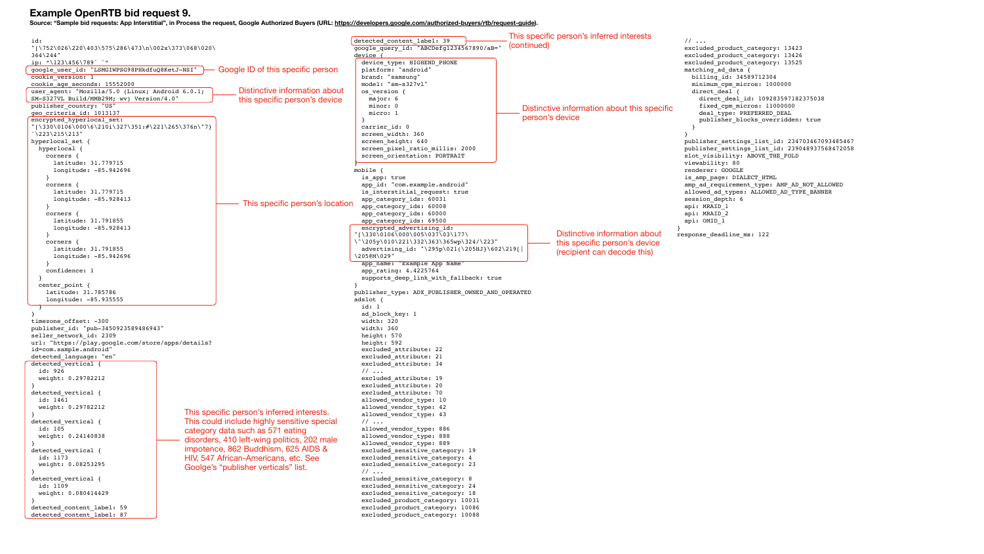### **Example OpenRTB bid request 9.**



**Source: "Sample bid requests: App Interstitial", in Process the request, Google Authorized Buyers (URL:<https://developers.google.com/authorized-buyers/rtb/request-guide>).**

```
id: 
"[\752\026\220\403\575\286\473\n\002x\373\068\020\
364\244"
ip: 41231456789google_user_id: "LSMGIWPSG98PHkdfuQ8KetJ-NSI"
cookie version: 1
cookie_age_seconds: 15552000
user_agent: "Mozilla/5.0 (Linux; Android 6.0.1; 
SM-S327VL Build/MMB29M; wv) Version/4.0"
publisher country: "US"
geo_criteria_id: 1013137
encrypted hyperlocal set:
"[\330\0106\000\6\210i\327\351:#\221\265\376n\"7}
`\223\215\213"
hyperlocal set {
  hyperlocal {
     corners {
       latitude: 31.779715
       longitude: -85.942696
 }
     corners {
       latitude: 31.779715
       longitude: -85.928413
 }
     corners {
       latitude: 31.791855
       longitude: -85.928413
 }
     corners {
       latitude: 31.791855
       longitude: -85.942696
 }
     confidence: 1
 }
   center_point {
    latitude: 31.785786
     longitude: -85.935555
\overline{\phantom{a}}}
timezone offset: -300
publisher_id: "pub-3450923589486943"
seller network id: 2309
url: "https://play.google.com/store/apps/details?
id=com.sample.android"
detected_language: "en"
detected vertical {
  id: 926
   weight: 0.29782212
}
detected_vertical {
   id: 1461
  weight: 0.29782212
}
detected vertical {
  id: 105
  weight: 0.24140838
}
detected_vertical {
   id: 1173
   weight: 0.08253295
}
detected_vertical {
  id: 1109
  weight: 0.080414429
}
detected content label: 59
detected content label: 87
                                                                                            detected content label: 39
                                                                                            google_query_id: "ABCDefg1234567890/aB="
                                                                                            device {
                                                                                               device_type: HIGHEND_PHONE
                                                                                               platform: "android"
                                                                                               brand: "samsung"
                                                                                               model: "sm-s327vl"
                                                                                               os_version {
                                                                                                major: 6
                                                                                                minor: 0
                                                                                                micro: 1
                                                                                            \vert \cdot \rangle carrier_id: 0
                                                                                              screen width: 360
                                                                                              screen height: 640
                                                                                              screen pixel ratio millis: 2000
                                                                                               screen_orientation: PORTRAIT
                                                                                            }
                                                                                            mobile {
                                                                                               is_app: true
                                                                                              app id: "com.example.android"
                                                                                              is interstitial request: true
                                                                                               app_category_ids: 60031
                                                                                              app_category_ids: 60008
                                                                                               app_category_ids: 60000
                                                                                              app category ids: 69500
                                                                                              encrypted advertising id:
                                                                                            "[\330\0106\000\005\037\03\177\
                                                                                            \^\205y\010\221\332\363\365wp\324/\223"
                                                                                               advertising_id: "\295p\021(\205HJ}\602\219[|
                                                                                            \205@M\029"
                                                                                              app_name: "Example App Name"
                                                                                               app_rating: 4.4225764
                                                                                               supports_deep_link_with_fallback: true
                                                                                            }
                                                                                            publisher type: ADX PUBLISHER OWNED AND OPERATED
                                                                                            adslot {
                                                                                               id: 1
                                                                                              ad block key: 1
                                                                                               width: 320
                                                                                               width: 360
                                                                                               height: 570
                                                                                               height: 592
                                                                                               excluded_attribute: 22
                                                                                               excluded_attribute: 21
                                                                                               excluded_attribute: 34
                                                                                               // ...
                                                                                               excluded_attribute: 19
                                                                                               excluded_attribute: 20
                                                                                               excluded_attribute: 70
                                                                                              allowed vendor type: 10
                                                                                               allowed_vendor_type: 42
                                                                                              allowed vendor type: 43
                                                                                               // ...
                                                                                              allowed vendor type: 886
                                                                                               allowed_vendor_type: 888
                                                                                              allowed vendor type: 889
                                                                                              excluded sensitive category: 19
                                                                                              excluded sensitive category: 4
                                                                                              excluded sensitive category: 23
                                                                                               // ...
                                                                                              excluded sensitive category: 8
                                                                                              excluded sensitive category: 24
                                                                                              excluded sensitive category: 18
                                                                                               excluded_product_category: 10031
                                                                                               excluded_product_category: 10086
                                                                                               excluded_product_category: 10088
                                                           Distinctive information about 
                                                          this specific person's device
                                                     Google ID of this specific person 
                                           This specific person's inferred interests. 
                                           This could include highly sensitive special 
                                           category data such as 571 eating 
                                           disorders, 410 left-wing politics, 202 male 
                                           impotence, 862 Buddhism, 625 AIDS & 
                                           HIV, 547 African-Americans, etc. See 
                                           Goolge's "publisher verticals" list. 
                                                           - This specific person's location
```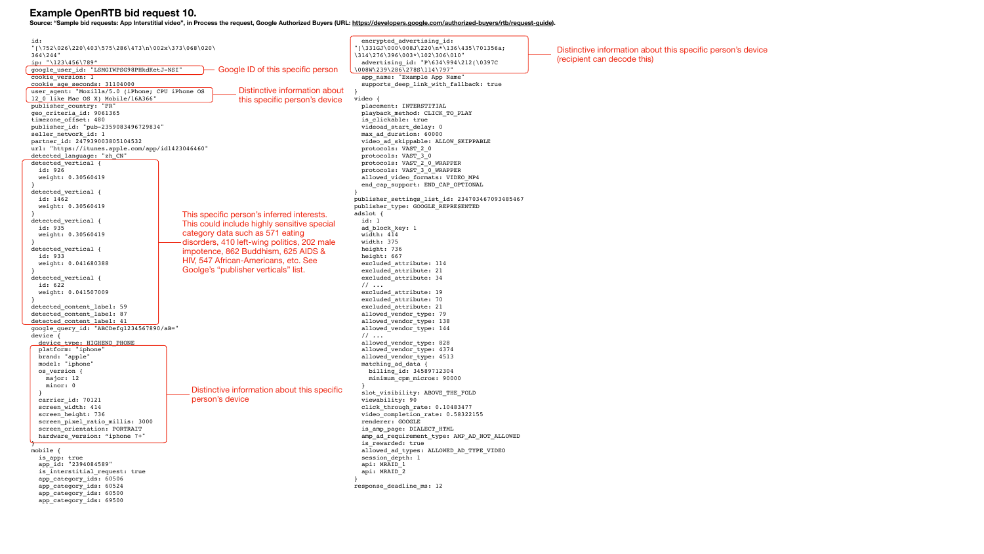```
id: 
"[\752\026\220\403\575\286\473\n\002x\373\068\020\
364\244"
ip: "\123\456\789"
google_user_id: "LSMGIWPSG98PHkdKetJ-NSI"
cookie version: 1
cookie_age_seconds: 31104000
user_agent: "Mozilla/5.0 (iPhone; CPU iPhone OS 
12_0 like Mac OS X) Mobile/16A366"
publisher country: "FR"
geo_criteria_id: 9061365
timezone_offset: 480
publisher_id: "pub-2359083496729834"
seller network id: 1
partner_id: 247939003805104532
url: "https://itunes.apple.com/app/id1423046460"
detected_language: "zh_CN"
detected vertical {
   id: 926
   weight: 0.30560419
}
detected vertical {
  id: 1462
   weight: 0.30560419
}
detected vertical {
   id: 935
   weight: 0.30560419
}
detected vertical {
  id: 933
  weight: 0.041680388
}
detected vertical {
  id: 622
   weight: 0.041507009
}
detected content label: 59
detected content label: 87
detected content label: 41
google_query_id: "ABCDefg1234567890/aB="
device {
  device type: HIGHEND PHONE
   platform: "iphone"
   brand: "apple"
   model: "iphone"
   os_version {
     major: 12
     minor: 0
 }
  carrier id: 70121
  screen width: 414
   screen_height: 736
  screen pixel ratio millis: 3000
   screen_orientation: PORTRAIT
  hardware version: "iphone 7+"
}
mobile {
   is_app: true
   app_id: "2394084589"
   is_interstitial_request: true
   app_category_ids: 60506
   app_category_ids: 60524
   app_category_ids: 60500
   app_category_ids: 69500
                                                                                              encrypted_advertising_id: 
                                                                                           "[\331GJ\000\008J\220\n*\136\435\701356a;
                                                                                           \314\276\396\003*\102\306\010"
                                                                                             advertising_id: "P\634\994\212(\0397C 
                                                                                           \008W\239\286\278S\114\797"
                                                                                             app name: "Example App Name"
                                                                                             supports deep link with fallback: true
                                                                                           }
                                                                                           video {
                                                                                              placement: INTERSTITIAL
                                                                                              playback_method: CLICK_TO_PLAY
                                                                                             is clickable: true
                                                                                              videoad_start_delay: 0
                                                                                              max_ad_duration: 60000
                                                                                              video_ad_skippable: ALLOW_SKIPPABLE
                                                                                              protocols: VAST_2_0
                                                                                              protocols: VAST_3_0
                                                                                             protocols: VAST_2_0_WRAPPER
                                                                                              protocols: VAST_3_0_WRAPPER
                                                                                              allowed_video_formats: VIDEO_MP4
                                                                                             end cap support: END CAP OPTIONAL
                                                                                           }
                                                                                           publisher_settings_list_id: 234703467093485467
                                                                                           publisher type: GOOGLE REPRESENTED
                                                                                           adslot {
                                                                                             id: 1
                                                                                             ad block key: 1
                                                                                              width: 414
                                                                                              width: 375
                                                                                              height: 736
                                                                                              height: 667
                                                                                              excluded_attribute: 114
                                                                                              excluded_attribute: 21
                                                                                              excluded_attribute: 34
                                                                                              // ...
                                                                                              excluded_attribute: 19
                                                                                              excluded_attribute: 70
                                                                                              excluded_attribute: 21
                                                                                             allowed vendor type: 79
                                                                                              allowed_vendor_type: 138
                                                                                              allowed_vendor_type: 144
                                                                                             // ...
                                                                                             allowed vendor type: 828
                                                                                              allowed_vendor_type: 4374
                                                                                             allowed vendor type: 4513
                                                                                              matching_ad_data {
                                                                                               billing_id: 34589712304
                                                                                               minimum_cpm_micros: 90000
                                                                                            }
                                                                                              slot_visibility: ABOVE_THE_FOLD
                                                                                              viewability: 90
                                                                                             click through rate: 0.10483477
                                                                                              video_completion_rate: 0.58322155
                                                                                              renderer: GOOGLE
                                                                                              is_amp_page: DIALECT_HTML
                                                                                              amp_ad_requirement_type: AMP_AD_NOT_ALLOWED
                                                                                             is rewarded: true
                                                                                              allowed_ad_types: ALLOWED_AD_TYPE_VIDEO
                                                                                              session_depth: 1
                                                                                              api: MRAID_1
                                                                                             api: MRAID_2
                                                                                           }
                                                                                           response_deadline_ms: 12
                                                          Distinctive information about 
                                                          this specific person's device
                                                     Google ID of this specific person 
                                          This specific person's inferred interests. 
                                          This could include highly sensitive special 
                                          category data such as 571 eating 
                                          disorders, 410 left-wing politics, 202 male 
                                          impotence, 862 Buddhism, 625 AIDS & 
                                          HIV, 547 African-Americans, etc. See 
                                          Goolge's "publisher verticals" list. 
                                            Distinctive information about this specific 
                                             person's device
```
### **Example OpenRTB bid request 10.**

**Source: "Sample bid requests: App Interstitial video", in Process the request, Google Authorized Buyers (URL:<https://developers.google.com/authorized-buyers/rtb/request-guide>).**

Distinctive information about this specific person's device (recipient can decode this)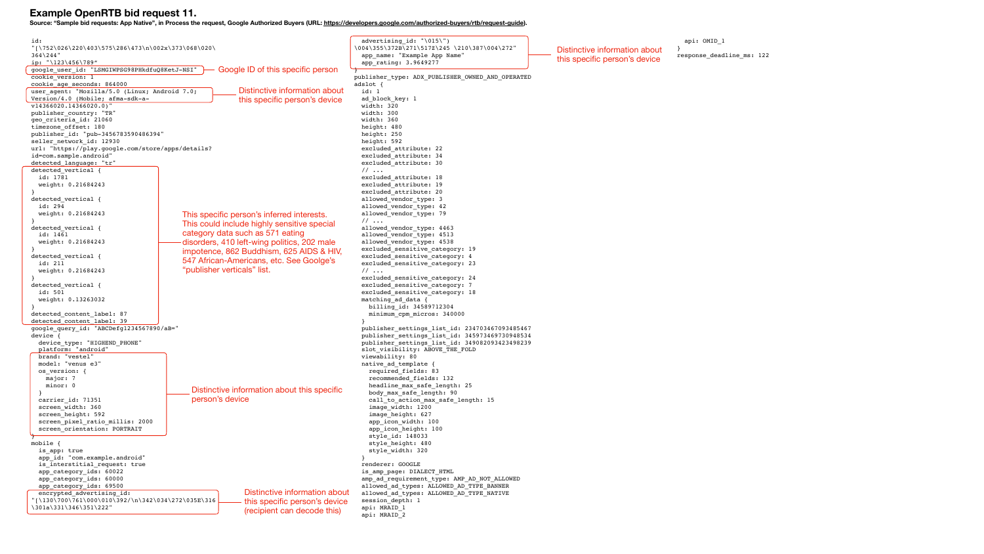publisher\_settings\_list\_id: 234703467093485467 publisher\_settings\_list\_id: 345973469730948534 publisher\_settings\_list\_id: 349082093423498239  $\mathsf{FOLD}$ 

 $length: 15$ 

 amp\_ad\_requirement\_type: AMP\_AD\_NOT\_ALLOWED  $\overline{AD\_TYPE\_BANNER}$ .<br>AD\_TYPE\_NATIVE

 $210\387\004\272"$  api: OMID\_1 } response\_deadline\_ms: 122 Distinctive information about this specific person's device

 $R\_OWNED\_AND\_OPERATED$ 

y: 19

 $y: 4$ 

 $y: 23$ 

 $y: 24$ 

 $y: 7$ 

 $\frac{1}{y}$ : 18

| id:<br>$\lceil \frac{1}{220\403\575\286\473\n\002x\373\068\020} \rceil$ |                                                                | advertising_id: "\015\")<br>\004\355\372B\271\517Z\245\210\      |
|-------------------------------------------------------------------------|----------------------------------------------------------------|------------------------------------------------------------------|
| $364$ \ $244$ "                                                         | app name: "Example App Name"                                   |                                                                  |
| ip: "\123\456\789"                                                      | app rating: 3.9649277                                          |                                                                  |
| google_user_id: "LSMGIWPSG98PHkdfuQ8KetJ-NSI"                           | Google ID of this specific person                              |                                                                  |
| cookie version: 1                                                       |                                                                | publisher_type: ADX_PUBLISHER OW                                 |
| cookie age seconds: 864000                                              |                                                                | adslot $\{$                                                      |
| user_agent: "Mozilla/5.0 (Linux; Android 7.0;                           | Distinctive information about<br>this specific person's device | id: 1                                                            |
| Version/4.0 (Mobile; afma-sdk-a-<br>$v14366020.14366020.0)$ "           | ad block key: 1<br>width: 320                                  |                                                                  |
| publisher_country: "TR"                                                 |                                                                | width: 300                                                       |
| geo criteria id: 21060                                                  | width: 360                                                     |                                                                  |
| timezone offset: 180                                                    | height: 480                                                    |                                                                  |
| publisher id: "pub-3456783590486394"                                    | height: 250                                                    |                                                                  |
| seller network id: 12930                                                | height: 592                                                    |                                                                  |
| url: "https://play.google.com/store/apps/details?                       |                                                                | excluded attribute: 22                                           |
| id=com.sample.android"                                                  |                                                                | excluded attribute: 34                                           |
| detected language: "tr"                                                 |                                                                | excluded attribute: 30                                           |
| detected vertical {                                                     |                                                                | 11                                                               |
| id: 1781<br>weight: 0.21684243                                          |                                                                | excluded attribute: 18<br>excluded attribute: 19                 |
|                                                                         |                                                                | excluded attribute: 20                                           |
| detected vertical {                                                     |                                                                | allowed_vendor_type: 3                                           |
| id: 294                                                                 |                                                                | allowed vendor type: 42                                          |
| weight: 0.21684243                                                      | This specific person's inferred interests.                     | allowed vendor type: 79                                          |
|                                                                         |                                                                | 11                                                               |
| detected_vertical {                                                     | This could include highly sensitive special                    | allowed vendor type: 4463                                        |
| id: 1461                                                                | category data such as 571 eating                               | allowed vendor type: 4513                                        |
| weight: 0.21684243                                                      | disorders, 410 left-wing politics, 202 male                    | allowed_vendor_type: 4538                                        |
|                                                                         | impotence, 862 Buddhism, 625 AIDS & HIV,                       | excluded sensitive category: 1                                   |
| detected vertical {<br>id: 211                                          | 547 African-Americans, etc. See Goolge's                       | excluded sensitive category: 4<br>excluded sensitive category: 2 |
| weight: 0.21684243                                                      | "publisher verticals" list.                                    | $\frac{1}{2}$                                                    |
|                                                                         |                                                                | excluded sensitive category: 2                                   |
| detected_vertical {                                                     |                                                                | excluded_sensitive_category: 7                                   |
| id: 501                                                                 |                                                                | excluded sensitive category: 1                                   |
| weight: 0.13263032                                                      |                                                                | matching ad data {                                               |
|                                                                         |                                                                | billing id: 34589712304                                          |
| detected content label: 87                                              |                                                                | minimum cpm micros: 340000                                       |
| detected content label: 39                                              |                                                                |                                                                  |
| google query id: "ABCDefg1234567890/aB="<br>device {                    |                                                                | publisher_settings_list_id: 23<br>publisher settings list id: 34 |
| device type: "HIGHEND PHONE"                                            |                                                                | publisher settings list id: 34                                   |
| platform: "android"                                                     |                                                                | slot visibility: ABOVE THE FOL                                   |
| brand: "vestel"                                                         |                                                                | viewability: 80                                                  |
| model: "venus e3"                                                       |                                                                | native ad template {                                             |
| os version: {                                                           |                                                                | required fields: 83                                              |
| major: 7                                                                |                                                                | recommended fields: 132                                          |
| minor: 0                                                                | Distinctive information about this specific                    | headline max safe length: 25                                     |
|                                                                         | person's device                                                | body max safe length: 90                                         |
| carrier id: 71351<br>screen width: 360                                  |                                                                | call to action max safe leng                                     |
| screen height: 592                                                      |                                                                | image_width: 1200<br>image_height: 627                           |
| screen pixel ratio millis: 2000                                         |                                                                | app icon width: 100                                              |
| screen orientation: PORTRAIT                                            |                                                                | app icon height: 100                                             |
|                                                                         |                                                                | style_id: 148033                                                 |
| mobile $\{$                                                             |                                                                | style height: 480                                                |
| is app: true                                                            |                                                                | style width: 320                                                 |
| app_id: "com.example.android"                                           |                                                                |                                                                  |
| is interstitial request: true                                           |                                                                | renderer: GOOGLE                                                 |
| app_category_ids: 60022                                                 |                                                                | is_amp_page: DIALECT HTML                                        |
| app_category_ids: 60000                                                 |                                                                | amp_ad_requirement_type: AMP_A                                   |
| app category ids: 69500<br>encrypted advertising id:                    | Distinctive information about                                  | allowed ad types: ALLOWED AD T<br>allowed_ad_types: ALLOWED AD T |
| $"\left\{130\700\761\000\010\392/\n\}/342\034\272\035E\316$             | session depth: 1                                               |                                                                  |
| this specific person's device<br>\301a\331\346\351\222"                 |                                                                | api: MRAID 1                                                     |
|                                                                         | (recipient can decode this)                                    | api: MRAID 2                                                     |
|                                                                         |                                                                |                                                                  |

### **Example OpenRTB bid request 11.**

**Source: "Sample bid requests: App Native", in Process the request, Google Authorized Buyers (URL:<https://developers.google.com/authorized-buyers/rtb/request-guide>).**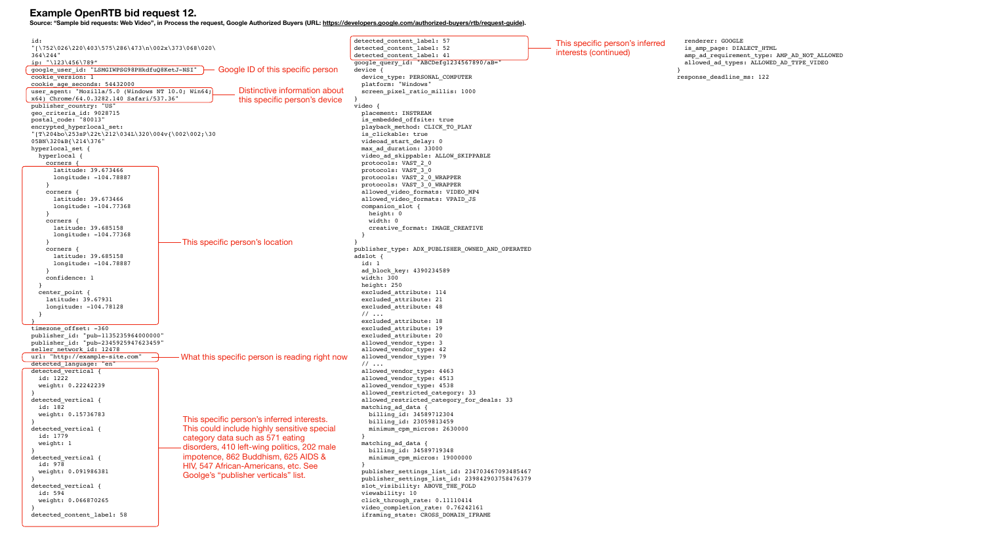```
id: 
"[\752\026\220\403\575\286\473\n\002x\373\068\020\
364\244"
ip: "\123\456\789"
google_user_id: "LSMGIWPSG98PHkdfuQ8KetJ-NSI"
cookie version: 1
cookie_age_seconds: 54432000
user_agent: "Mozilla/5.0 (Windows NT 10.0; Win64;
x64) Chrome/64.0.3282.140 Safari/537.36"
publisher country: "US"
geo_criteria_id: 9028715
postal_code: "80013"
encrypted_hyperlocal_set: 
"[T\204bo\253sP\22t\212\034L\320\004v{\002\002;\30
05BN\320&B{\214\376"
hyperlocal set {
  hyperlocal {
     corners {
       latitude: 39.673466
       longitude: -104.78887
 }
     corners {
       latitude: 39.673466
       longitude: -104.77368
 }
     corners {
       latitude: 39.685158
       longitude: -104.77368
 }
     corners {
       latitude: 39.685158
       longitude: -104.78887
 }
     confidence: 1
 }
  center point {
    latitude: 39.67931
     longitude: -104.78128
 }
}
timezone_offset: -360
publisher_id: "pub-1135235964000000"
publisher_id: "pub-2345925947623459"
seller network id: 12478
url: "http://example-site.com"
detected_language: "en"
detected_vertical {
   id: 1222
   weight: 0.22242239
}
detected vertical {
  id: 182
   weight: 0.15736783
}
detected_vertical {
   id: 1779
   weight: 1
}
detected_vertical {
   id: 978
   weight: 0.091986381
}
detected vertical {
  id: 594
   weight: 0.066870265
}
detected_content_label: 58
                                                                                           detected content label: 57
                                                                                           detected_content_label: 52
                                                                                           detected content label: 41
                                                                                           google_query_id: "ABCDefg1234
                                                                                          device {
                                                                                            device_type: PERSONAL COMPU
                                                                                             platform: "Windows"
                                                                                            screen_pixel_ratio_millis:
                                                                                           }
                                                                                           video {
                                                                                             placement: INSTREAM
                                                                                            is embedded offsite: true
                                                                                            playback method: CLICK TO P
                                                                                            is clickable: true
                                                                                             videoad_start_delay: 0
                                                                                             max_ad_duration: 33000
                                                                                            video_ad_skippable: ALLOW_S
                                                                                             protocols: VAST_2_0
                                                                                             protocols: VAST_3_0
                                                                                             protocols: VAST_2_0_WRAPPER
                                                                                             protocols: VAST_3_0_WRAPPER
                                                                                            allowed video formats: VIDE
                                                                                            allowed_video_formats: VPAI
                                                                                             companion_slot {
                                                                                               height: 0
                                                                                               width: 0
                                                                                              creative_format: IMAGE CR
                                                                                            }
                                                                                           }
                                                                                           publisher type: ADX PUBLISHER
                                                                                           adslot {
                                                                                             id: 1
                                                                                             ad_block_key: 4390234589
                                                                                             width: 300
                                                                                             height: 250
                                                                                             excluded_attribute: 114
                                                                                             excluded_attribute: 21
                                                                                             excluded_attribute: 48
                                                                                             // ...
                                                                                             excluded_attribute: 18
                                                                                             excluded_attribute: 19
                                                                                             excluded_attribute: 20
                                                                                             allowed_vendor_type: 3
                                                                                             allowed_vendor_type: 42
                                                                                            allowed vendor type: 79
                                                                                             // ...
                                                                                             allowed_vendor_type: 4463
                                                                                            allowed vendor type: 4513
                                                                                             allowed_vendor_type: 4538
                                                                                            allowed_restricted_category
                                                                                            allowed restricted category
                                                                                             matching_ad_data {
                                                                                               billing_id: 34589712304
                                                                                               billing_id: 23059813459
                                                                                              minimum_cpm_micros: 26300
                                                                                            }
                                                                                            matching ad data {
                                                                                               billing_id: 34589719348
                                                                                              minimum_cpm_micros: 19000
                                                                                            }
                                                                                             publisher_settings_list_id: 234703467093485467
                                                                                             publisher_settings_list_id: 239842903758476379
                                                                                            slot_visibility: ABOVE_THE FOLD
                                                                                             viewability: 10
                                                                                            click through rate: 0.11110414
                                                                                            video completion rate: 0.76242161
                                                                                            iframing state: CROSS DOMAIN IFRAME
                                                          Distinctive information about 
                                                          this specific person's device
                                                    Google ID of this specific person 
                                          This specific person's location 
                                          This specific person's inferred interests. 
                                          This could include highly sensitive special 
                                          category data such as 571 eating 
                                          disorders, 410 left-wing politics, 202 male 
                                          impotence, 862 Buddhism, 625 AIDS & 
                                          HIV, 547 African-Americans, etc. See 
                                          Goolge's "publisher verticals" list. 
                                          What this specific person is reading right now
```
### **Example OpenRTB bid request 12.**

**Source: "Sample bid requests: Web Video", in Process the request, Google Authorized Buyers (URL:<https://developers.google.com/authorized-buyers/rtb/request-guide>).**

|                         | This specific person's inferred<br>interests (continued) | renderer: GOOGLE<br>is_amp_page: DIALECT_HTML                                          |
|-------------------------|----------------------------------------------------------|----------------------------------------------------------------------------------------|
| I567890/aB="            |                                                          | amp_ad_requirement_type: AMP_AD_NOT_ALLOWED<br>allowed_ad_types: ALLOWED_AD_TYPE_VIDEO |
| JTER                    |                                                          | $\}$<br>response_deadline_ms: 122                                                      |
| 1000                    |                                                          |                                                                                        |
|                         |                                                          |                                                                                        |
|                         |                                                          |                                                                                        |
| <b>LAY?</b>             |                                                          |                                                                                        |
|                         |                                                          |                                                                                        |
| <b>KIPPABLE</b>         |                                                          |                                                                                        |
| ₹                       |                                                          |                                                                                        |
| $10$ MP4                |                                                          |                                                                                        |
| $ID$ _J $S$             |                                                          |                                                                                        |
|                         |                                                          |                                                                                        |
| <b>REATIVE</b>          |                                                          |                                                                                        |
|                         |                                                          |                                                                                        |
| COWNED_AND_OPERATED     |                                                          |                                                                                        |
|                         |                                                          |                                                                                        |
|                         |                                                          |                                                                                        |
|                         |                                                          |                                                                                        |
|                         |                                                          |                                                                                        |
|                         |                                                          |                                                                                        |
|                         |                                                          |                                                                                        |
|                         |                                                          |                                                                                        |
|                         |                                                          |                                                                                        |
|                         |                                                          |                                                                                        |
| 7:33<br>'_for_deals: 33 |                                                          |                                                                                        |
|                         |                                                          |                                                                                        |
| 00 <sub>0</sub>         |                                                          |                                                                                        |
|                         |                                                          |                                                                                        |
| 000                     |                                                          |                                                                                        |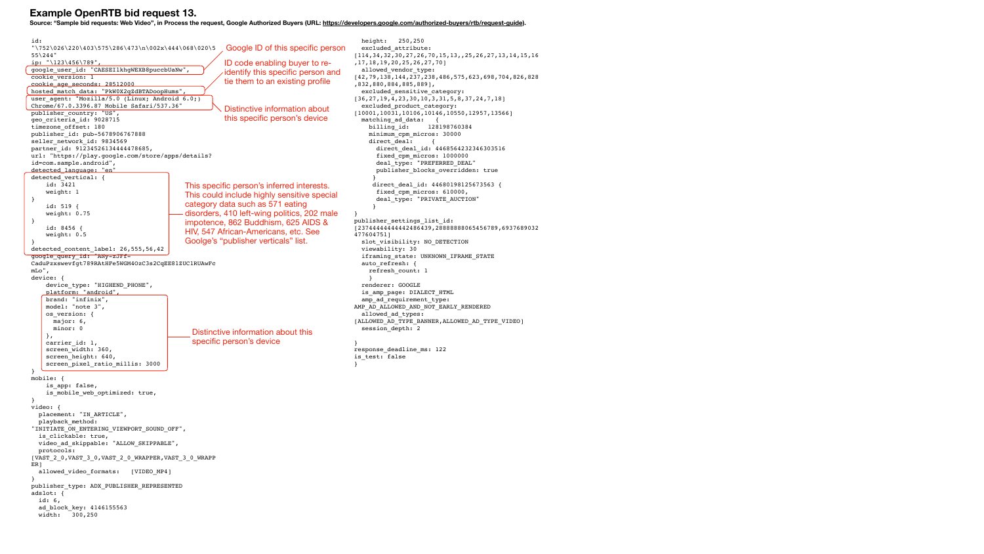```
id: 
"\1752\026\220\403\575\286\473\n002x\444\068\020\555\244"
ip: "\123\456\789",
google user id: "CAESEIlkhgWEXB8puccbUaNw",
cookie version: 1
cookie_age_seconds: 28512000
hosted_match_data: "PkW0X2qZdBTADoopHums",
user agent: "Mozilla/5.0 (Linux; Android 6.0;)
Chrome/67.0.3396.87 Mobile Safari/537.36"
publisher country: "US",
geo_criteria_id: 9028715
timezone_offset: 180
publisher_id: pub-5678906767888
seller network id: 9834569
partner id: 91234526134444478685,
url: "https://play.google.com/store/apps/details?
id=com.sample.android",
detected_language: "en"
detected_vertical: {
     id: 3421
     weight: 1
}
     id: 519 {
     weight: 0.75
}
     id: 8456 {
     weight: 0.5
}
detected content label: 26,555,56,42
google_query_id: "ANy-zJFf-
CaduPzxswevfgt789RAtHFe5WGM4OzC3s2CqEE81ZUC1RUAwFc
mLo",
device: {
     device_type: "HIGHEND_PHONE",
     platform: "android",
     brand: "infinix",
     model: "note 3",
    os version: {
       major: 6,
       minor: 0
     },
     carrier_id: 1,
     screen_width: 360,
    screen height: 640,
     screen_pixel_ratio_millis: 3000
}
mobile: {
     is_app: false,
     is_mobile_web_optimized: true,
}
video: {
   placement: "IN_ARTICLE",
   playback_method: 
"INITIATE_ON_ENTERING_VIEWPORT_SOUND_OFF",
   is_clickable: true,
  video ad skippable: "ALLOW SKIPPABLE",
   protocols: 
[VAST_2_0,VAST_3_0,VAST_2_0_WRAPPER,VAST_3_0_WRAPP
ER]
  allowed video formats: [VIDEO MP4]
}
publisher_type: ADX_PUBLISHER_REPRESENTED
adslot: {
   id: 6,
   ad_block_key: 4146155563
   width: 300,250
                                                                                             height: 250,250
                                                                                            excluded attribute:
                                                                                          [114,34,32,30,27,26,70,15,13,,25,26,27,13,14,15,16
                                                                                          ,17,18,19,20,25,26,27,70]
                                                                                             allowed_vendor_type: 
                                                                                          [42,79,138,144,237,238,486,575,623,698,704,826,828
                                                                                          ,832,880,884,885,889],
                                                                                             excluded_sensitive_category: 
                                                                                          [36,27,19,4,23,30,10,3,31,5,8,37,24,7,18]
                                                                                             excluded_product_category: 
                                                                                          [10001,10031,10106,10146,10550,12957,13566]
                                                                                            matching ad data: {
                                                                                               billing_id: 128198760384
                                                                                               minimum_cpm_micros: 30000
                                                                                              direct deal:
                                                                                                 direct_deal_id: 4468564232346303516
                                                                                                 fixed_cpm_micros: 1000000
                                                                                                deal type: "PREFERRED DEAL"
                                                                                                publisher blocks overridden: true
                                                                                           }
                                                                                               direct deal id: 44680198125673563 {
                                                                                                 fixed_cpm_micros: 610000,
                                                                                                 deal_type: "PRIVATE_AUCTION"
                                                                                           }
                                                                                          }
                                                                                          publisher_settings_list_id: 
                                                                                          [23744444444442486439,28888888065456789,6937689032
                                                                                          477604751]
                                                                                             slot_visibility: NO_DETECTION
                                                                                             viewability: 30
                                                                                             iframing_state: UNKNOWN_IFRAME_STATE
                                                                                             auto_refresh: {
                                                                                               refresh_count: 1
                                                                                               }
                                                                                             renderer: GOOGLE
                                                                                            is amp page: DIALECT HTML
                                                                                             amp_ad_requirement_type: 
                                                                                          AMP_AD_ALLOWED_AND_NOT_EARLY_RENDERED
                                                                                            allowed ad types:
                                                                                          [ALLOWED_AD_TYPE_BANNER,ALLOWED_AD_TYPE_VIDEO]
                                                                                             session_depth: 2
                                                                                          }
                                                                                          response_deadline_ms: 122
                                                                                          is test: false
                                                                                          }
                                                      Distinctive information about 
                                                     this specific person's device
                                                      Google ID of this specific person 
                                          This specific person's inferred interests. 
                                          This could include highly sensitive special 
                                          category data such as 571 eating 
                                          disorders, 410 left-wing politics, 202 male 
                                          impotence, 862 Buddhism, 625 AIDS & 
                                          HIV, 547 African-Americans, etc. See 
                                          Goolge's "publisher verticals" list. 
                                                     ID code enabling buyer to re-
                                                      identify this specific person and 
                                                     tie them to an existing profile
                                             Distinctive information about this 
                                            specific person's device
```
### **Example OpenRTB bid request 13.**

**Source: "Sample bid requests: Web Video", in Process the request, Google Authorized Buyers (URL:<https://developers.google.com/authorized-buyers/rtb/request-guide>).**